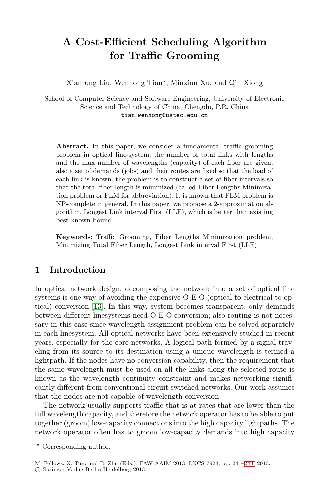# **A Cost-Efficient Scheduling Algorithm for Traffic Grooming**

Xianrong Liu, Wenhong Tian\*, Minxian Xu, and Qin Xiong

School of Computer Science and Software Engineering, University of Electronic Science and Technology of China, Chengdu, P.R. China tian wenhong@ustec.edu.cn

Abstract. In this paper, we consider a fundamental traffic grooming problem in optical line-system: the number of total links with lengths and the max number of wavelengths (capacity) of each fiber are given, also a set of demands (jobs) and their routes are fixed so that the load of each link is known, the problem is to construct a set of fiber intervals so that the total fiber length is minimized (called Fiber Lengths Minimization problem or FLM for abbreviation). It is known that FLM problem is NP-complete in general. In this paper, we propose a 2-approximation algorithm, Longest Link interval First (LLF), which is better than existing best known bound.

**Keywords:** Traffic Grooming, Fiber Lengths Minimization problem, Minimizing Total Fiber Length, Longest Link interval First (LLF).

## **1 Introduction**

In optical network design, decomposing the network into a set of optical line systems is one way of avoiding the expensive O-E-O (optical to electrical to optical) conversion [13]. In this way, system becomes transparent, only demands between different linesystems need O-E-O conversion; also routing is not necessary in this case since wavelength assignment problem can be solved separately in each linesystem. All-optical networks have been extensively studied in recent years, especially for the core networks. A logical path formed by a signal traveling from its source to its destination using a unique wavelength is termed a lightpath. If the nodes have no conversion capability, then the requirement that the same wavelength must be used on all the links along the selected route is known as the wavelength continuity constraint and makes networking significantly different from conventional circuit switched networks. Our work assumes that the nodes are not capable of wavelength [conv](#page-8-0)ersion.

The network usually supports traffic that is at rates that are lower than the full wavelength capacity, and therefore the network operator has to be able to put together (groom) low-capacity connections into the high capacity lightpaths. The network operator often has to groom low-capacity demands into high capacity

<sup>-</sup> Corresponding author.

M. Fellows, X. Tan, and B. Zhu (Eds.): FAW-AAIM 2013, LNCS 7924, pp. 241–249, 2013. -c Springer-Verlag Berlin Heidelberg 2013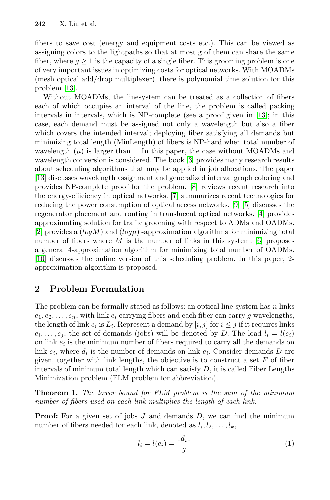#### 242 X. Liu et al.

fibers to save cost (energy and equipment costs [etc](#page-8-1).). This can be viewed as assigning colors to the lightpaths so that at most g of them can share the same fiber, where  $q \geq 1$  is the capacity of a single fiber. This grooming problem is one of very important issues in optimizing costs for optical networks. With MOADMs (mesh optical add/drop multiplexer), there is polynomial time solution for this problem [13].

Without MOADMs, the l[in](#page-8-2)esystem can be treated as a collection of fibers each of which occupies an interval of the line, the problem is called packing intervals in intervals, which i[s N](#page-8-3)P-complete (see a proof given in [13]; in this case, each demand mu[st](#page-8-4) be assigned not only a wavelength but also a fiber which covers the intended interval; deplo[yin](#page-8-5)g [fi](#page-8-6)ber satisfying all demands but minimizing total length (MinLength) of fibers is N[P-](#page-8-7)hard when total number of wavelength  $(\mu)$  is larger than 1. In this paper, the case without MOADMs and wavelength conversion is considered. The book [3] provides many research results about scheduling algorithms that may be applied [in](#page-8-8) job allocations. The paper [13] discusses wavelength assignment and generalized interval graph coloring and provides NP-complete proof for the problem. [8] reviews recent research into the energy-efficiency in optical networks. [7] summarizes recent technologies for reducing the power consumption of optical access networks. [9] [5] discusses the regenerator placement and routing in translucent optical networks. [4] provides approximating solution for traffic grooming with respect to ADMs and OADMs. [2] provides a (*logM*) and (*logµ*) -approximation algorithms for minimizing total number of fibers where *M* is the number of links in this system. [6] proposes a general 4-approximation algorithm for minimizing total number of OADMs. [10] discusses the online version of this scheduling problem. In this paper, 2 approximation algorithm is proposed.

# **2 Problem Formulation**

The problem can be formally stated as follows: an optical line-system has *n* links  $e_1, e_2, \ldots, e_n$ , with link  $e_i$  carrying fibers and each fiber can carry *g* wavelengths, the length of link  $e_i$  is  $L_i$ . Represent a demand by  $[i, j]$  for  $i \leq j$  if it requires links  $e_i, \ldots, e_j$ ; the set of demands (jobs) will be denoted by *D*. The load  $l_i = l(e_i)$ on link  $e_i$  is the minimum number of fibers required to carry all the demands on link  $e_i$ , where  $d_i$  is the number of demands on link  $e_i$ . Consider demands  $D$  are given, together with link lengths, the objective is to construct a set *F* of fiber intervals of minimum total length which can satisfy *D*, it is called Fiber Lengths Minimization problem (FLM problem for abbreviation).

**Theorem 1.** *The lower bound for FLM problem is the sum of the minimum number of fibers used on each link multiplies the length of each link.*

**Proof:** For a given set of jobs *J* and demands *D*, we can find the minimum number of fibers needed for each link, denoted as  $l_i, l_2, \ldots, l_k$ ,

$$
l_i = l(e_i) = \lceil \frac{d_i}{g} \rceil \tag{1}
$$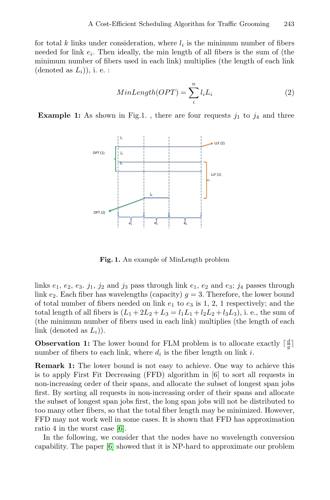for total  $k$  links under consideration, where  $l_i$  is the minimum number of fibers needed for link  $e_i$ . Then ideally, the min length of all fibers is the sum of (the minimum number of fibers used in each link) multiplies (the length of each link (denoted as  $L_i$ )), i. e. :

$$
MinLength(OPT) = \sum_{i}^{n} l_i L_i
$$
\n(2)

**Example 1:** As shown in Fig.1. , there are four requests  $j_1$  to  $j_4$  and three



**Fig. 1.** An example of MinLength problem

links  $e_1, e_2, e_3, j_1, j_2$  and  $j_3$  pass through link  $e_1, e_2$  and  $e_3$ ;  $j_4$  passes through link  $e_2$ . Each fiber has wavelengths (capacity)  $g = 3$ . Therefore, the lower bound of total number of fibers needed on link  $e_1$  to  $e_3$  is 1, 2, 1 respectively; and the total length of all fibers is  $(L_1 + 2L_2 + L_3 = l_1L_1 + l_2L_2 + l_3L_3)$ , i. e., the sum of (the minimum number of fibers used in each link) multiplies (the length of each link (denoted as  $L_i$ )).

**Observation 1:** The lower bound for FLM problem is to allocate exactly  $\lceil \frac{d}{g} \rceil$ <br>number of fibers to each link, where d, is the fiber length on link i number of fibers to each link, where  $d_i$  is the fiber length on link  $i$ .

**Remark 1:** The lower bound is not easy to achieve. One way to achieve this is t[o a](#page-8-8)pply First Fit Decreasing (FFD) algorithm in [6] to sort all requests in non-increasing order of their spans, and allocate the subset of longest span jobs first. By sorting all requests in non-increasing order of their spans and allocate the subset of longest span jobs first, the long span jobs will not be distributed to too many other fibers, so that the total fiber length may be minimized. However, FFD may not work well in some cases. It is shown that FFD has approximation ratio 4 in the worst case [6].

In the following, we consider that the nodes have no wavelength conversion capability. The paper [6] showed that it is NP-hard to approximate our problem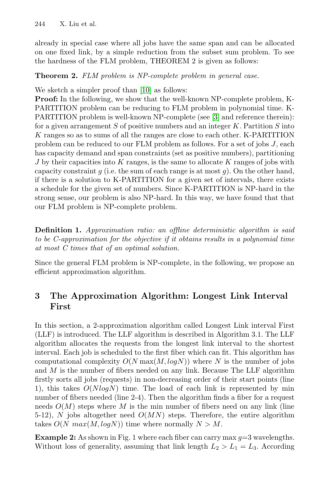#### 244 X. Liu [et](#page-8-9) [a](#page-8-9)l.

already in special case where all jobs have the same span and can be allocated on one fixed link, by a simple redu[ctio](#page-8-2)n from the subset sum problem. To see the hardness of the FLM problem, THEOREM 2 is given as follows:

**Theorem 2.** *FLM problem is NP-complete problem in general case.*

We sketch a simpler proof than [10] as follows:

**Proof:** In the following, we show that the well-known NP-complete problem, K-PARTITION problem can be reducing to FLM problem in polynomial time. K-PARTITION problem is well-known NP-complete (see [3] and reference therein): for a given arrangement *S* of positive numbers and an integer *K*. Partition *S* into *K* ranges so as to sums of all the ranges are close to each other. K-PARTITION problem can be reduced to our FLM problem as follows. For a set of jobs *J*, each has capacity demand and span constraints (set as positive numbers), partitioning *J* by their capacities into *K* ranges, is the same to allocate *K* ranges of jobs with capacity constraint  $q$  (i.e. the sum of each range is at most  $q$ ). On the other hand, if there is a solution to K-PARTITION for a given set of intervals, there exists a schedule for the given set of numbers. Since K-PARTITION is NP-hard in the strong sense, our problem is also NP-hard. In this way, we have found that that our FLM problem is NP-complete problem.

**Definition 1.** *Approximation ratio: an offline deterministic algorithm is said to be C-approximation for the objective if it obtains results in a polynomial time at most C times that of an optimal solution.*

Since the general FLM problem is NP-complete, in the following, we propose an efficient approximation algorithm.

# **3 The Approximation Algorithm: Longest Link Interval First**

In this section, a 2-approximation algorithm called Longest Link interval First (LLF) is introduced. The LLF algorithm is described in Algorithm 3.1. The LLF algorithm allocates the requests from the longest link interval to the shortest interval. Each job is scheduled to the first fiber which can fit. This algorithm has computational complexity  $O(N \max(M, log N))$  where *N* is the number of jobs and *M* is the number of fibers needed on any link. Because The LLF algorithm firstly sorts all jobs (requests) in non-decreasing order of their start points (line 1), this takes *O*(*NlogN*) time. The load of each link is represented by min number of fibers needed (line 2-4). Then the algorithm finds a fiber for a request needs  $O(M)$  steps where M is the min number of fibers need on any link (line 5-12), *N* jobs altogether need *O*(*MN*) steps. Therefore, the entire algorithm takes  $O(N \ max(M, \log N))$  time where normally  $N > M$ .

**Example 2:** As shown in Fig. 1 where each fiber can carry max  $q=3$  wavelengths. Without loss of generality, assuming that link length  $L_2 > L_1 = L_3$ . According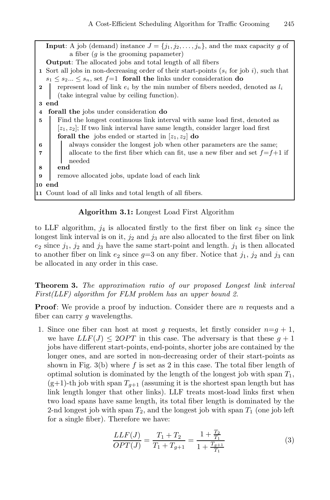|   | <b>Input:</b> A job (demand) instance $J = \{j_1, j_2, \ldots, j_n\}$ , and the max capacity g of                            |
|---|------------------------------------------------------------------------------------------------------------------------------|
|   | a fiber $(q$ is the grooming papameter)                                                                                      |
|   | <b>Output:</b> The allocated jobs and total length of all fibers                                                             |
|   | <b>1</b> Sort all jobs in non-decreasing order of their start-points $(s_i \text{ for job } i)$ , such that                  |
|   | $s_1 \leq s_2  \leq s_n$ , set $f=1$ for all the links under consideration do                                                |
|   |                                                                                                                              |
|   | represent load of link $e_i$ by the min number of fibers needed, denoted as $l_i$ (take integral value by ceiling function). |
|   | 3 end                                                                                                                        |
| 4 | forall the jobs under consideration do                                                                                       |
| 5 | Find the longest continuous link interval with same load first, denoted as                                                   |
|   | $[z_1, z_2]$ ; If two link interval have same length, consider larger load first                                             |
|   | <b>forall the</b> jobs ended or started in $[z_1, z_2]$ <b>do</b>                                                            |
| 6 | always consider the longest job when other parameters are the same;                                                          |
| 7 | allocate to the first fiber which can fit, use a new fiber and set $f=f+1$ if                                                |
|   | needed                                                                                                                       |
| 8 | end                                                                                                                          |
| 9 | remove allocated jobs, update load of each link                                                                              |
|   | 10 end                                                                                                                       |
|   | 11 Count load of all links and total length of all fibers.                                                                   |

#### **Algorithm 3.1:** Longest Load First Algorithm

to LLF algorithm,  $j_4$  is allocated firstly to the first fiber on link  $e_2$  since the longest link interval is on it,  $j_2$  and  $j_3$  are also allocated to the first fiber on link  $e_2$  since  $j_1$ ,  $j_2$  and  $j_3$  have the same start-point and length.  $j_1$  is then allocated to another fiber on link  $e_2$  since  $g=3$  on any fiber. Notice that  $j_1$ ,  $j_2$  and  $j_3$  can be allocated in any order in this case.

**Theorem 3.** *The approximation ratio of our proposed Longest link interval First(LLF) algorithm for FLM problem has an upper bound 2.*

**Proof**: We provide a proof by induction. Consider there are *<sup>n</sup>* requests and a fiber can carry *g* wavelengths.

1. Since one fiber can host at most *g* requests, let firstly consider  $n=q+1$ , we have  $LLF(J) \leq 2OPT$  in this case. The adversary is that these  $g + 1$ jobs have different start-points, end-points, shorter jobs are contained by the longer ones, and are sorted in non-decreasing order of their start-points as shown in Fig. 3(b) where *f* is set as 2 in this case. The total fiber length of optimal solution is dominated by the length of the longest job with span *T*1,  $(g+1)$ -th job with span  $T_{g+1}$  (assuming it is the shortest span length but has link length longer that other links). LLF treats most-load links first when two load spans have same length, its total fiber length is dominated by the 2-nd longest job with span  $T_2$ , and the longest job with span  $T_1$  (one job left for a single fiber). Therefore we have:

$$
\frac{LLF(J)}{OPT(J)} = \frac{T_1 + T_2}{T_1 + T_{g+1}} = \frac{1 + \frac{T_2}{T_1}}{1 + \frac{T_{g+1}}{T_1}}
$$
(3)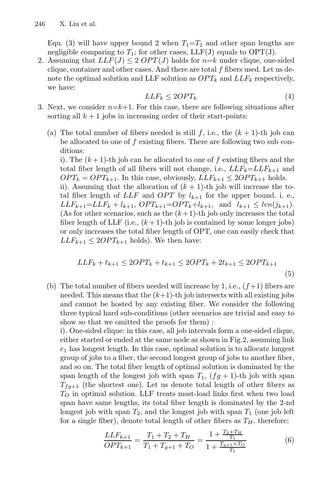Equ. (3) will have upper bound 2 when  $T_1 = T_2$  and other span lengths are negligible comparing to  $T_1$ ; for other cases, LLF(J) equals to OPT(J).

2. Assuming that  $LLF(J) \leq 2$  *OPT*(*J*) holds for *n*=*k* under clique, one-sided clique, container and other cases. And there are total *f* fibers used. Let us denote the optimal solution and LLF solution as  $OPT_k$  and  $LLF_k$  respectively, we have:

$$
LLF_k \le 2OPT_k \tag{4}
$$

- 3. Next, we consider  $n=k+1$ . For this case, there are following situations after sorting all  $k + 1$  jobs in increasing order of their start-points:
	- (a) The total number of fibers needed is still  $f$ , i.e., the  $(k + 1)$ -th job can be allocated to one of *f* existing fibers. There are following two sub conditions:

i). The  $(k+1)$ -th job can be allocated to one of f existing fibers and the total fiber length of all fibers will not change, i.e.,  $LLF_k=LLF_{k+1}$  and  $OPT_k = OPT_{k+1}$ . In this case, obviously,  $LLF_{k+1} \leq 2OPT_{k+1}$  holds.

ii). Assuming that the allocation of  $(k + 1)$ -th job will increase the total fiber length of *LLF* and *OPT* by  $l_{k+1}$  for the upper bound. i. e.,  $LLF_{k+1} = LLF_k + l_{k+1}, \, OPT_{k+1} = OPT_k + l_{k+1}, \, \text{ and } \, l_{k+1} \leq \text{len}(j_{k+1}).$ (As for other scenarios, such as the  $(k+1)$ -th job only increases the total fiber length of LLF (i.e.,  $(k+1)$ -th job is contained by some longer jobs) or only increases the total fiber length of OPT, one can easily check that  $LLF_{k+1} \leq 2OPT_{k+1}$  holds). We then have:

$$
LLF_k + t_{k+1} \le 2OPT_k + t_{k+1} \le 2OPT_k + 2t_{k+1} \le 2OPT_{k+1}
$$
\n(5)

(b) The total number of fibers needed will increase by 1, i.e.,  $(f+1)$  fibers are needed. This means that the  $(k+1)$ -th job intersects with all existing jobs and cannot be hosted by any existing fiber. We consider the following three typical hard sub-conditions (other scenarios are trivial and easy to show so that we omitted the proofs for them) :

i). One-sided clique: in this case, all job intervals form a one-sided clique, either started or ended at the same node as shown in Fig.2, assuming link *e*<sup>1</sup> has longest length. In this case, optimal solution is to allocate longest group of jobs to a fiber, the second longest group of jobs to another fiber, and so on. The total fiber length of optimal solution is dominated by the span length of the longest job with span  $T_1$ ,  $(fg + 1)$ -th job with span  $T_{fq+1}$  (the shortest one). Let us denote total length of other fibers as  $T<sub>O</sub>$  in optimal solution. LLF treats most-load links first when two load span have same lengths, its total fiber length is dominated by the 2-nd longest job with span  $T_2$ , and the longest job with span  $T_1$  (one job left for a single fiber), denote total length of other fibers as  $T_H$ . therefore:

$$
\frac{LLF_{k+1}}{OPT_{k+1}} = \frac{T_1 + T_2 + T_H}{T_1 + T_{g+1} + T_O} = \frac{1 + \frac{T_2 + T_H}{T_1}}{1 + \frac{T_{g+1} + T_O}{T_1}}
$$
(6)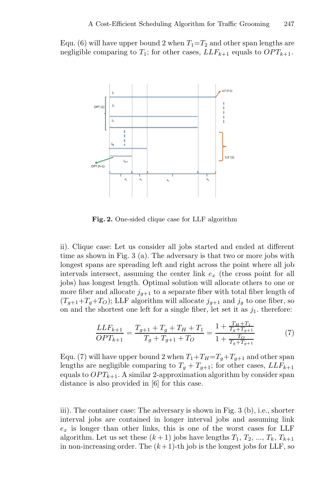Equ. (6) will have upper bound 2 when  $T_1 = T_2$  and other span lengths are negligible comparing to  $T_1$ ; for other cases,  $LLF_{k+1}$  equals to  $OPT_{k+1}$ .



**Fig. 2.** One-sided clique case for LLF algorithm

ii). Clique case: Let us consider all jobs started and ended at different time as shown in Fig. 3 (a). The adversary is that two or more jobs with longest spans are spreading left and right across the point where all job intervals intersect, assuming the center link  $e_x$  (the cross point for all jobs) has longest length. Optimal solution will allocate others to one or more fiber and allocate  $j_{q+1}$  to a separate fiber with total fiber length of  $(T_{g+1}+T_g+T_O)$ ; LLF algorithm will allocate  $j_{g+1}$  and  $j_g$  to one fiber, so on and the shortest one left for a single fiber, let set it as  $j_1$ . therefore:

$$
\frac{LLF_{k+1}}{OPT_{k+1}} = \frac{T_{g+1} + T_g + T_H + T_1}{T_g + T_{g+1} + T_O} = \frac{1 + \frac{T_H + T_1}{T_g + T_{g+1}}}{1 + \frac{T_O}{T_g + T_{g+1}}}
$$
(7)

Equ. (7) will have upper bound 2 when  $T_1+T_H=T_q+T_{q+1}$  and other span lengths are negligible comparing to  $T_g + T_{g+1}$ ; for other cases,  $LLF_{k+1}$ equals to  $OPT_{k+1}$ . A similar 2-approximation algorithm by consider span distance is also provided in [6] for this case.

iii). The container case: The adversary is shown in Fig. 3 (b), i.e., shorter interval jobs are contained in longer interval jobs and assuming link  $e_x$  is longer than other links, this is one of the worst cases for LLF algorithm. Let us set these  $(k+1)$  jobs have lengths  $T_1, T_2, ..., T_k, T_{k+1}$ in non-increasing order. The  $(k+1)$ -th job is the longest jobs for LLF, so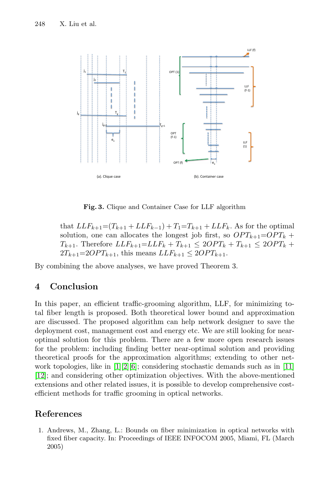248 X. Liu et al.



**Fig. 3.** Clique and Container Case for LLF algorithm

that  $LLF_{k+1}=(T_{k+1} + LLF_{k-1}) + T_1 = T_{k+1} + LLF_k$ . As for the optimal solution, one can allocates the longest job first, so  $OPT_{k+1} = OPT_k +$ *T*<sub>k+1</sub>. Therefore  $LLF_{k+1}=LLF_k+T_{k+1} \leq 2OPT_k+T_{k+1} \leq 2OPT_k+T_{k+1}$  $2T_{k+1}=2OPT_{k+1}$ , this means  $LLF_{k+1} \leq 2OPT_{k+1}$ .

By combining the above analyses, we have proved Theorem 3.

## <span id="page-7-0"></span>**4 Conclusion**

In thi[s](#page-7-0) [p](#page-7-0)[ap](#page-8-10)[er](#page-8-8), an efficient traffic-grooming algorithm, LL[F,](#page-8-11) [f](#page-8-11)or minimizing total fiber length is proposed. Both theoretical lower bound and approximation are discussed. The proposed algorithm can help network designer to save the deployment cost, management cost and energy etc. We are still looking for nearoptimal solution for this problem. There are a few more open research issues for the problem: including finding better near-optimal solution and providing theoretical proofs for the approximation algorithms; extending to other network topologies, like in  $[1][2][6]$ ; considering stochastic demands such as in  $[11]$ [12]; and considering other optimization objectives. With the above-mentioned extensions and other related issues, it is possible to develop comprehensive costefficient methods for traffic grooming in optical networks.

## **References**

1. Andrews, M., Zhang, L.: Bounds on fiber minimization in optical networks with fixed fiber capacity. In: Proceedings of IEEE INFOCOM 2005, Miami, FL (March 2005)